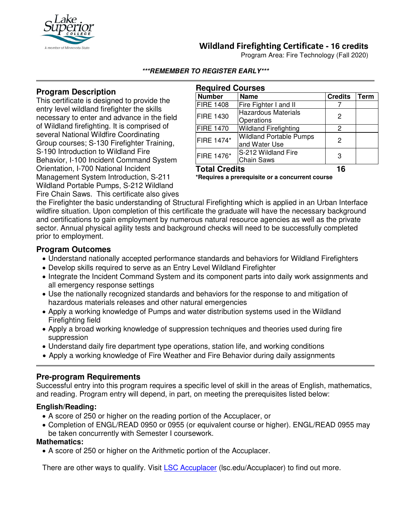

# **Wildland Firefighting Certificate - 16 credits**

Program Area: Fire Technology (Fall 2020)

#### **\*\*\*REMEMBER TO REGISTER EARLY\*\*\***

### **Program Description**

This certificate is designed to provide the entry level wildland firefighter the skills necessary to enter and advance in the field of Wildland firefighting. It is comprised of several National Wildfire Coordinating Group courses; S-130 Firefighter Training, S-190 Introduction to Wildland Fire Behavior, I-100 Incident Command System Orientation, I-700 National Incident Management System Introduction, S-211 Wildland Portable Pumps, S-212 Wildland Fire Chain Saws. This certificate also gives

| <b>Required Courses</b> |                                                 |                |      |
|-------------------------|-------------------------------------------------|----------------|------|
| <b>Number</b>           | <b>Name</b>                                     | <b>Credits</b> | Term |
| <b>FIRE 1408</b>        | Fire Fighter I and II                           |                |      |
| <b>FIRE 1430</b>        | <b>Hazardous Materials</b><br>Operations        | 2              |      |
| <b>FIRE 1470</b>        | <b>Wildland Firefighting</b>                    | 2              |      |
| FIRE 1474*              | <b>Wildland Portable Pumps</b><br>and Water Use | 2              |      |
| FIRE 1476*              | S-212 Wildland Fire<br><b>Chain Saws</b>        | З              |      |
| <b>Total Credits</b>    |                                                 | 16             |      |

**\*Requires a prerequisite or a concurrent course**

the Firefighter the basic understanding of Structural Firefighting which is applied in an Urban Interface wildfire situation. Upon completion of this certificate the graduate will have the necessary background and certifications to gain employment by numerous natural resource agencies as well as the private sector. Annual physical agility tests and background checks will need to be successfully completed prior to employment.

### **Program Outcomes**

- Understand nationally accepted performance standards and behaviors for Wildland Firefighters
- Develop skills required to serve as an Entry Level Wildland Firefighter
- Integrate the Incident Command System and its component parts into daily work assignments and all emergency response settings
- Use the nationally recognized standards and behaviors for the response to and mitigation of hazardous materials releases and other natural emergencies
- Apply a working knowledge of Pumps and water distribution systems used in the Wildland Firefighting field
- Apply a broad working knowledge of suppression techniques and theories used during fire suppression
- Understand daily fire department type operations, station life, and working conditions
- Apply a working knowledge of Fire Weather and Fire Behavior during daily assignments

#### **Pre-program Requirements**

Successful entry into this program requires a specific level of skill in the areas of English, mathematics, and reading. Program entry will depend, in part, on meeting the prerequisites listed below:

#### **English/Reading:**

- A score of 250 or higher on the reading portion of the Accuplacer, or
- Completion of ENGL/READ 0950 or 0955 (or equivalent course or higher). ENGL/READ 0955 may be taken concurrently with Semester I coursework.

#### **Mathematics:**

• A score of 250 or higher on the Arithmetic portion of the Accuplacer.

There are other ways to qualify. Visit [LSC Accuplacer](https://www.lsc.edu/accuplacer/) (Isc.edu/Accuplacer) to find out more.